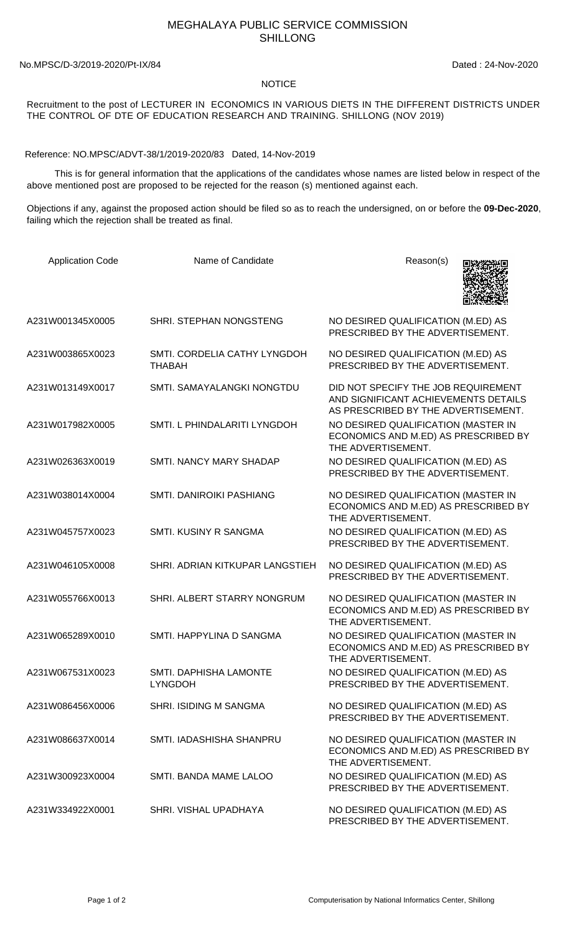## MEGHALAYA PUBLIC SERVICE COMMISSION SHILLONG

No.MPSC/D-3/2019-2020/Pt-IX/84 Dated : 24-Nov-2020

## NOTICE

Recruitment to the post of LECTURER IN ECONOMICS IN VARIOUS DIETS IN THE DIFFERENT DISTRICTS UNDER THE CONTROL OF DTE OF EDUCATION RESEARCH AND TRAINING. SHILLONG (NOV 2019)

Reference: NO.MPSC/ADVT-38/1/2019-2020/83 Dated, 14-Nov-2019

 This is for general information that the applications of the candidates whose names are listed below in respect of the above mentioned post are proposed to be rejected for the reason (s) mentioned against each.

Objections if any, against the proposed action should be filed so as to reach the undersigned, on or before the **09-Dec-2020**, failing which the rejection shall be treated as final.

| <b>Application Code</b> | Name of Candidate                             | Reason(s)                                                                                                          |
|-------------------------|-----------------------------------------------|--------------------------------------------------------------------------------------------------------------------|
| A231W001345X0005        | SHRI. STEPHAN NONGSTENG                       | NO DESIRED QUALIFICATION (M.ED) AS<br>PRESCRIBED BY THE ADVERTISEMENT.                                             |
| A231W003865X0023        | SMTI. CORDELIA CATHY LYNGDOH<br><b>THABAH</b> | NO DESIRED QUALIFICATION (M.ED) AS<br>PRESCRIBED BY THE ADVERTISEMENT.                                             |
| A231W013149X0017        | SMTI. SAMAYALANGKI NONGTDU                    | DID NOT SPECIFY THE JOB REQUIREMENT<br>AND SIGNIFICANT ACHIEVEMENTS DETAILS<br>AS PRESCRIBED BY THE ADVERTISEMENT. |
| A231W017982X0005        | SMTI. L PHINDALARITI LYNGDOH                  | NO DESIRED QUALIFICATION (MASTER IN<br>ECONOMICS AND M.ED) AS PRESCRIBED BY<br>THE ADVERTISEMENT.                  |
| A231W026363X0019        | SMTI. NANCY MARY SHADAP                       | NO DESIRED QUALIFICATION (M.ED) AS<br>PRESCRIBED BY THE ADVERTISEMENT.                                             |
| A231W038014X0004        | <b>SMTI. DANIROIKI PASHIANG</b>               | NO DESIRED QUALIFICATION (MASTER IN<br>ECONOMICS AND M.ED) AS PRESCRIBED BY<br>THE ADVERTISEMENT.                  |
| A231W045757X0023        | SMTI. KUSINY R SANGMA                         | NO DESIRED QUALIFICATION (M.ED) AS<br>PRESCRIBED BY THE ADVERTISEMENT.                                             |
| A231W046105X0008        | SHRI. ADRIAN KITKUPAR LANGSTIEH               | NO DESIRED QUALIFICATION (M.ED) AS<br>PRESCRIBED BY THE ADVERTISEMENT.                                             |
| A231W055766X0013        | SHRI. ALBERT STARRY NONGRUM                   | NO DESIRED QUALIFICATION (MASTER IN<br>ECONOMICS AND M.ED) AS PRESCRIBED BY<br>THE ADVERTISEMENT.                  |
| A231W065289X0010        | SMTI. HAPPYLINA D SANGMA                      | NO DESIRED QUALIFICATION (MASTER IN<br>ECONOMICS AND M.ED) AS PRESCRIBED BY<br>THE ADVERTISEMENT.                  |
| A231W067531X0023        | SMTI. DAPHISHA LAMONTE<br><b>LYNGDOH</b>      | NO DESIRED QUALIFICATION (M.ED) AS<br>PRESCRIBED BY THE ADVERTISEMENT.                                             |
| A231W086456X0006        | <b>SHRI. ISIDING M SANGMA</b>                 | NO DESIRED QUALIFICATION (M.ED) AS<br>PRESCRIBED BY THE ADVERTISEMENT.                                             |
| A231W086637X0014        | SMTI. IADASHISHA SHANPRU                      | NO DESIRED QUALIFICATION (MASTER IN<br>ECONOMICS AND M.ED) AS PRESCRIBED BY<br>THE ADVERTISEMENT.                  |
| A231W300923X0004        | SMTI. BANDA MAME LALOO                        | NO DESIRED QUALIFICATION (M.ED) AS<br>PRESCRIBED BY THE ADVERTISEMENT.                                             |
| A231W334922X0001        | SHRI. VISHAL UPADHAYA                         | NO DESIRED QUALIFICATION (M.ED) AS<br>PRESCRIBED BY THE ADVERTISEMENT.                                             |